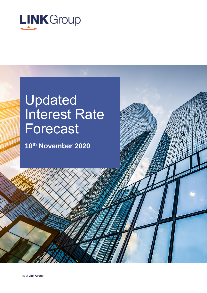

# Updated Interest Rate Forecast

**10th November 2020**

Part of **Link Group**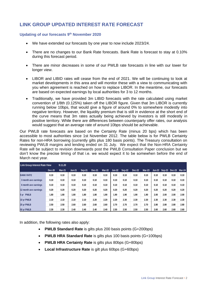## **LINK GROUP UPDATED INTEREST RATE FORECAST**

#### **Updating of our forecasts 9 th November 2020**

- We have extended our forecasts by one year to now include 2023/24.
- There are no changes to our Bank Rate forecasts. Bank Rate is forecast to stay at 0.10% during this forecast period.
- There are minor decreases in some of our PWLB rate forecasts in line with our lower for longer view.
- LIBOR and LIBID rates will cease from the end of 2021. We will be continuing to look at market developments in this area and will monitor these with a view to communicating with you when agreement is reached on how to replace LIBOR. In the meantime, our forecasts are based on expected earnings by local authorities for 3 to 12 months.
- Traditionally, we have provided 3m LIBID forecasts with the rate calculated using market convention of 1/8th (0.125%) taken off the LIBOR figure. Given that 3m LIBOR is currently running below 10bps, that would give a figure of around 0% to somewhere modestly into negative territory. However, the liquidity premium that is still in evidence at the short end of the curve means that 3m rates actually being achieved by investors is still modestly in positive territory. While there are differences between counterparty offer rates, our analysis would suggest that an average rate of around 10bps should be achievable.

Our PWLB rate forecasts are based on the Certainty Rate (minus 20 bps) which has been accessible to most authorities since 1st November 2012. The table below is for PWLB Certainty Rates for non-HRA borrowing (currently gilts plus 180 basis points). The Treasury consultation on reviewing PWLB margins and lending ended on 31 July. We expect that the Non-HRA Certainty Rate will be subject to revision downwards post the PWLB Consultation Paper conclusion but we don't know the precise timing of that i.e. we would expect it to be somewhen before the end of March next year.

| <b>Link Group Interest Rate View</b> |               | 9.11.20       |               |        |               |               |               |        |               |          |      |                             |      |      |
|--------------------------------------|---------------|---------------|---------------|--------|---------------|---------------|---------------|--------|---------------|----------|------|-----------------------------|------|------|
|                                      | <b>Dec-20</b> | <b>Mar-21</b> | <b>Jun-21</b> | Sep-21 | <b>Dec-21</b> | <b>Mar-22</b> | <b>Jun-22</b> | Sep-22 | <b>Dec-22</b> | $Mar-23$ |      | Jun-23 Sep-23 Dec-23 Mar-24 |      |      |
| <b>BANK RATE</b>                     | 0.10          | 0.10          | 0.10          | 0.10   | 0.10          | 0.10          | 0.10          | 0.10   | 0.10          | 0.10     | 0.10 | 0.10                        | 0.10 | 0.10 |
| 3 month ave earnings                 | 0.10          | 0.10          | 0.10          | 0.10   | 0.10          | 0.10          | 0.10          | 0.10   | 0.10          | 0.10     | 0.10 | 0.10                        | 0.10 | 0.10 |
| 6 month ave earnings                 | 0.10          | 0.10          | 0.10          | 0.10   | 0.10          | 0.10          | 0.10          | 0.10   | 0.10          | 0.10     | 0.10 | 0.10                        | 0.10 | 0.10 |
| 12 month ave earnings                | 0.20          | 0.20          | 0.20          | 0.20   | 0.20          | 0.20          | 0.20          | 0.20   | 0.20          | 0.20     | 0.20 | 0.20                        | 0.20 | 0.20 |
| 5 yr PWLB                            | 1.80          | 1.80          | 1.80          | 1.80   | 1.80          | 1.90          | 1.90          | 1.90   | 1.90          | 1.90     | 2.00 | 2.00                        | 2.00 | 2.00 |
| 10 yr PWLB                           | 2.10          | 2.10          | 2.10          | 2.10   | 2.20          | 2.20          | 2.20          | 2.30   | 2.30          | 2.30     | 2.30 | 2.30                        | 2.30 | 2.30 |
| 25 yr PWLB                           | 2.50          | 2.50          | 2.60          | 2.60   | 2.60          | 2.60          | 2.70          | 2.70   | 2.70          | 2.70     | 2.80 | 2.80                        | 2.80 | 2.80 |
| 50 yr PWLB                           | 2.30          | 2.30          | 2.40          | 2.40   | 2.40          | 2.40          | 2.50          | 2.50   | 2.50          | 2.50     | 2.60 | 2.60                        | 2.60 | 2.60 |

In addition, the following rates also apply:

- **PWLB Standard Rate** is gilts plus 200 basis points (G+200bps)
- **PWLB HRA Standard Rate** is gilts plus 100 basis points (G+100bps)
- **PWLB HRA Certainty Rate** is gilts plus 80bps (G+80bps)
- **Local Infrastructure Rate** is gilt plus 60bps (G+60bps)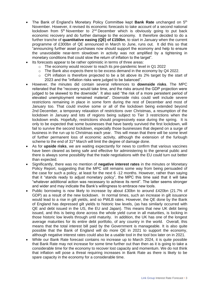- The Bank of England's Monetary Policy Committee kept **Bank Rate** unchanged on 5<sup>th</sup> November. However, it revised its economic forecasts to take account of a second national lockdown from 5<sup>th</sup> November to 2<sup>nd</sup> December which is obviously going to put back economic recovery and do further damage to the economy. It therefore decided to do a further tranche of **quantitative easing (QE) of £150bn**, to start in January when the current programme of £300bn of QE announced in March to June, runs out. It did this so that "announcing further asset purchases now should support the economy and help to ensure the unavoidable near-term slowdown in activity was not amplified by a tightening in monetary conditions that could slow the return of inflation to the target".
- Its forecasts appear to be rather optimistic in terms of three areas:
	- o The economy would recover to reach its pre-pandemic level in Q1 2022
	- $\circ$  The Bank also expects there to be excess demand in the economy by Q4 2022.
	- $\circ$  CPI inflation is therefore projected to be a bit above its 2% target by the start of 2023 and the "inflation risks were judged to be balanced".
- However, the minutes did contain several references to **downside risks**. The MPC reiterated that the "recovery would take time, and the risks around the GDP projection were judged to be skewed to the downside". It also said "the risk of a more persistent period of elevated unemployment remained material". Downside risks could well include severe restrictions remaining in place in some form during the rest of December and most of January too. That could involve some or all of the lockdown being extended beyond 2nd December, a temporary relaxation of restrictions over Christmas, a resumption of the lockdown in January and lots of regions being subject to Tier 3 restrictions when the lockdown ends. Hopefully, restrictions should progressively ease during the spring. It is only to be expected that some businesses that have barely survived the first lockdown, will fail to survive the second lockdown, especially those businesses that depend on a surge of business in the run up to Christmas each year. This will mean that there will be some level of further permanent loss of economic activity, although the extension of the furlough scheme to the end of 31<sup>st</sup> March will limit the degree of damage done.
- As for **upside risks**, we are waiting expectantly for news to confirm that various vaccines have been cleared as being safe and effective for administering to the general public and there is always some possibility that the trade negotiations with the EU could turn out better than expected.
- Significantly, there was no mention of **negative interest rates** in the minutes or Monetary Policy Report, suggesting that the MPC still remains some way from being persuaded of the case for such a policy, at least for the next 6 -12 months. However, rather than saying that it "stands ready to adjust monetary policy", the MPC this time said that it will take "whatever additional action was necessary to achieve its remit". The latter seems stronger and wider and may indicate the Bank's willingness to embrace new tools.
- Public borrowing is now likely to increase by about £30bn to around £420bn (21.7% of GDP) as a result of the new lockdown. In normal times, such an increase in gilt issuance would lead to a rise in gilt yields, and so PWLB rates. However, the QE done by the Bank of England has depressed gilt yields to historic low levels, (as has similarly occurred with QE and debt issued in the US, the EU and Japan). This means that new UK debt being issued, and this is being done across the whole yield curve in all maturities, is locking in those historic low levels through until maturity. In addition, the UK has one of the longest average maturities for its entire debt portfolio, of any country in the world. Overall, this means that the total interest bill paid by the Government is manageable. It is also quite possible that the Bank of England will do more QE in 2021 to support the economy, although negative interest rates could also be a usable tool in the tool box later on in 2021.
- While our Bank Rate forecast contains no increase up to March 2024, it is quite possible that Bank Rate may not increase for some time further out than then as it is going to take a considerable time for the economy to recover lost capacity and momentum. We do not think that inflation will pose a threat requiring increases in Bank Rate as there is likely to be spare capacity in the economy for a considerable time.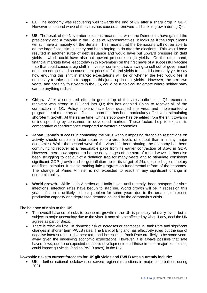- **EU.** The economy was recovering well towards the end of Q2 after a sharp drop in GDP. However, a second wave of the virus has caused a renewed fall back in growth during Q4.
- **US.** The result of the November elections means that while the Democrats have gained the presidency and a majority in the House of Representatives, it looks as if the Republicans will still have a majority on the Senate. This means that the Democrats will not be able to do the large fiscal stimulus they had been hoping to do after the elections. This would have resulted in another surge of debt issuance and would have put upward pressure on debt yields – which could have also put upward pressure on gilt yields. On the other hand, financial markets have leapt today (9th November) on the first news of a successful vaccine - so that could cause a big shift in investor sentiment i.e. a swing to sell out of government debt into equities and so cause debt prices to fall and yields to rise. It is too early yet to say how enduring this shift in market expectations will be or whether the Fed would feel it necessary to take action to suppress this jump up in debt yields. However, the next two years, and possibly four years in the US, could be a political stalemate where neither party can do anything radical.
- **China.** After a concerted effort to get on top of the virus outbreak in Q1, economic recovery was strong in Q2 and into Q3; this has enabled China to recover all of the contraction in Q1. Policy makers have both quashed the virus and implemented a programme of monetary and fiscal support that has been particularly effective at stimulating short-term growth. At the same time, China's economy has benefited from the shift towards online spending by consumers in developed markets. These factors help to explain its comparative outperformance compared to western economies.
- **Japan.** Japan's success in containing the virus without imposing draconian restrictions on activity should enable a faster return to pre-virus levels of output than in many major economies. While the second wave of the virus has been abating, the economy has been continuing to recover at a reasonable pace from its earlier contraction of 8.5% in GDP. However, there now appears to be the early stages of the start of a third wave. It has also been struggling to get out of a deflation trap for many years and to stimulate consistent significant GDP growth and to get inflation up to its target of 2%, despite huge monetary and fiscal stimulus. It is also making little progress on fundamental reform of the economy. The change of Prime Minister is not expected to result in any significant change in economic policy.
- **World growth.** While Latin America and India have, until recently, been hotspots for virus infections, infection rates have begun to stabilise. World growth will be in recession this year. Inflation is unlikely to be a problem for some years due to the creation of excess production capacity and depressed demand caused by the coronavirus crisis.

## **The balance of risks to the UK**

- The overall balance of risks to economic growth in the UK is probably relatively even, but is subject to major uncertainty due to the virus. It may also be affected by what, if any, deal the UK agrees as part of Brexit.
- There is relatively little UK domestic risk of increases or decreases in Bank Rate and significant changes in shorter term PWLB rates. The Bank of England has effectively ruled out the use of negative interest rates in the near term and increases in Bank Rate are likely to be some years away given the underlying economic expectations. However, it is always possible that safe haven flows, due to unexpected domestic developments and those in other major economies, could impact gilt yields, (and so PWLB rates), in the UK.

#### **Downside risks to current forecasts for UK gilt yields and PWLB rates currently include:**

• **UK** – further national lockdowns or severe regional restrictions in major conurbations during 2021.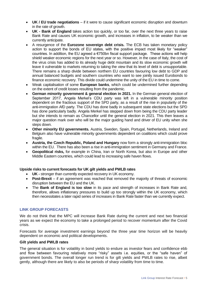- **UK / EU trade negotiations**  if it were to cause significant economic disruption and downturn in the rate of growth.
- **UK - Bank of England** takes action too quickly, or too far, over the next three years to raise Bank Rate and causes UK economic growth, and increases in inflation, to be weaker than we currently anticipate.
- A resurgence of the **Eurozone sovereign debt crisis.** The ECB has taken monetary policy action to support the bonds of EU states, with the positive impact most likely for "weaker" countries. In addition, the EU agreed a €750bn fiscal support package. These actions will help shield weaker economic regions for the next year or so. However, in the case of Italy, the cost of the virus crisis has added to its already huge debt mountain and its slow economic growth will leave it vulnerable to markets returning to taking the view that its level of debt is unsupportable. There remains a sharp divide between northern EU countries favouring low debt to GDP and annual balanced budgets and southern countries who want to see jointly issued Eurobonds to finance economic recovery. This divide could undermine the unity of the EU in time to come.
- Weak capitalisation of some **European banks**, which could be undermined further depending on the extent of credit losses resulting from the pandemic.
- **German minority government & general election in 2021.** In the German general election of September 2017, Angela Merkel's CDU party was left in a vulnerable minority position dependent on the fractious support of the SPD party, as a result of the rise in popularity of the anti-immigration AfD party. The CDU has done badly in subsequent state elections but the SPD has done particularly badly. Angela Merkel has stepped down from being the CDU party leader but she intends to remain as Chancellor until the general election in 2021. This then leaves a major question mark over who will be the major guiding hand and driver of EU unity when she steps down.
- **Other minority EU governments.** Austria, Sweden, Spain, Portugal, Netherlands, Ireland and Belgium also have vulnerable minority governments dependent on coalitions which could prove fragile.
- **Austria, the Czech Republic, Poland and Hungary** now form a strongly anti-immigration bloc within the EU. There has also been a rise in anti-immigration sentiment in Germany and France.
- **Geopolitical risks,** for example in China, Iran or North Korea, but also in Europe and other Middle Eastern countries, which could lead to increasing safe haven flows.

## **Upside risks to current forecasts for UK gilt yields and PWLB rates**

- **UK -** stronger than currently expected recovery in UK economy.
- **Post-Brexit** if an agreement was reached that removed the majority of threats of economic disruption between the EU and the UK.
- The **Bank of England is too slow** in its pace and strength of increases in Bank Rate and, therefore, allows inflationary pressures to build up too strongly within the UK economy, which then necessitates a later rapid series of increases in Bank Rate faster than we currently expect.

## **LINK GROUP FORECASTS**

We do not think that the MPC will increase Bank Rate during the current and next two financial years as we expect the economy to take a prolonged period to recover momentum after the Covid crisis.

Forecasts for average investment earnings beyond the three year time horizon will be heavily dependent on economic and political developments.

## **Gilt yields and PWLB rates**

The general situation is for volatility in bond yields to endure as investor fears and confidence ebb and flow between favouring relatively more "risky" assets i.e. equities, or the "safe haven" of government bonds. The overall longer run trend is for gilt yields and PWLB rates to rise, albeit gently, although there are likely to also be periods of sharp volatility from time to time.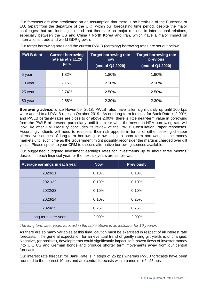Our forecasts are also predicated on an assumption that there is no break-up of the Eurozone or EU, (apart from the departure of the UK), within our forecasting time period, despite the major challenges that are looming up, and that there are no major ructions in international relations, especially between the US and China / North Korea and Iran, which have a major impact on international trade and world GDP growth.

| <b>PWLB</b> debt | <b>Current borrowing</b><br>rate as at 9.11.20<br>p.m. | <b>Target borrowing rate</b><br>now<br>(end of Q4 2020) | <b>Target borrowing rate</b><br>previous<br>(end of Q4 2020) |
|------------------|--------------------------------------------------------|---------------------------------------------------------|--------------------------------------------------------------|
| 5 year           | 1.82%                                                  | 1.80%                                                   | 1.90%                                                        |
| 10 year          | 2.15%                                                  | 2.10%                                                   | 2.10%                                                        |
| 25 year          | 2.74%                                                  | 2.50%                                                   | 2.50%                                                        |
| 50 year          | 2.58%                                                  | 2.30%                                                   | 2.30%                                                        |

Our target borrowing rates and the current PWLB (certainty) borrowing rates are set out below.

**Borrowing advice:** since November 2018, PWLB rates have fallen significantly up until 100 bps were added to all PWLB rates in October 2019. As our long-term forecast for Bank Rate is 2.00%, and PWLB certainty rates are close to or above 2.00%, there is little near-term value in borrowing from the PWLB at present, particularly until it is clear what the new non-HRA borrowing rate will look like after HM Treasury concludes its review of the PWLB Consultation Paper responses. Accordingly, clients will need to reassess their risk appetite in terms of either seeking cheaper alternative sources of long-term borrowing or switching to short term borrowing in the money markets until such time as the Government might possibly reconsider the margins charged over gilt yields. Please speak to your CRM to discuss alternative borrowing sources available.

Our suggested budgeted investment earnings rates for investments up to about three months' duration in each financial year for the next six years are as follows: -

| Average earnings in each year | <b>Now</b> | <b>Previously</b> |
|-------------------------------|------------|-------------------|
| 2020/21                       | 0.10%      | 0.10%             |
| 2021/22                       | 0.10%      | 0.10%             |
| 2022/23                       | 0.10%      | 0.10%             |
| 2023/24                       | 0.10%      | 0.25%             |
| 2024/25                       | 0.25%      | 0.75%             |
| Long term later years         | 2.00%      | 2.00%             |

*The long term later years forecast in the table above is an indicator for 10 years+.*

As there are so many variables at this time, caution must be exercised in respect of all interest rate forecasts. The general expectation for an eventual trend of gently rising gilt yields is unchanged. Negative, (or positive), developments could significantly impact safe haven flows of investor money into UK, US and German bonds and produce shorter term movements away from our central forecasts.

Our interest rate forecast for Bank Rate is in steps of 25 bps whereas PWLB forecasts have been rounded to the nearest 10 bps and are central forecasts within bands of  $+/-25$  bps.